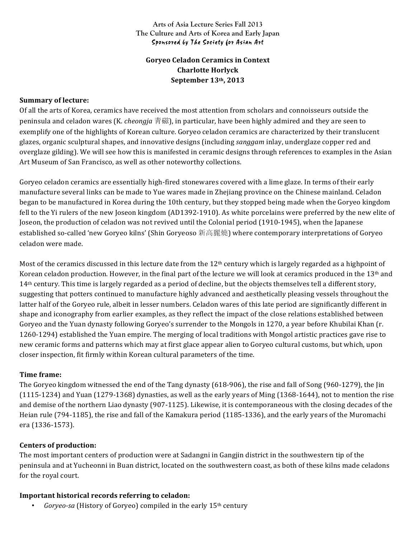### **Arts of Asia Lecture Series Fall 2013 The Culture and Arts of Korea and Early Japan** Sponsored by The Society for Asian Art

# **Goryeo Celadon Ceramics in Context Charlotte Horlyck September 13th, 2013**

### **Summary of lecture:**

Of all the arts of Korea, ceramics have received the most attention from scholars and connoisseurs outside the peninsula and celadon wares (K. *cheongja* 青磁), in particular, have been highly admired and they are seen to exemplify one of the highlights of Korean culture. Goryeo celadon ceramics are characterized by their translucent glazes, organic sculptural shapes, and innovative designs (including *sanggam* inlay, underglaze copper red and overglaze gilding). We will see how this is manifested in ceramic designs through references to examples in the Asian Art Museum of San Francisco, as well as other noteworthy collections.

Goryeo celadon ceramics are essentially high-fired stonewares covered with a lime glaze. In terms of their early manufacture several links can be made to Yue wares made in Zhejiang province on the Chinese mainland. Celadon began to be manufactured in Korea during the 10th century, but they stopped being made when the Goryeo kingdom fell to the Yi rulers of the new Joseon kingdom (AD1392-1910). As white porcelains were preferred by the new elite of Joseon, the production of celadon was not revived until the Colonial period (1910-1945), when the Japanese established so-called 'new Goryeo kilns' (Shin Goryeoso 新高麗燒) where contemporary interpretations of Goryeo celadon were made.

Most of the ceramics discussed in this lecture date from the  $12<sup>th</sup>$  century which is largely regarded as a highpoint of Korean celadon production. However, in the final part of the lecture we will look at ceramics produced in the  $13<sup>th</sup>$  and 14<sup>th</sup> century. This time is largely regarded as a period of decline, but the objects themselves tell a different story, suggesting that potters continued to manufacture highly advanced and aesthetically pleasing vessels throughout the latter half of the Goryeo rule, albeit in lesser numbers. Celadon wares of this late period are significantly different in shape and iconography from earlier examples, as they reflect the impact of the close relations established between Goryeo and the Yuan dynasty following Goryeo's surrender to the Mongols in 1270, a year before Khubilai Khan (r. 1260-1294) established the Yuan empire. The merging of local traditions with Mongol artistic practices gave rise to new ceramic forms and patterns which may at first glace appear alien to Goryeo cultural customs, but which, upon closer inspection, fit firmly within Korean cultural parameters of the time.

## **Time frame:**

The Goryeo kingdom witnessed the end of the Tang dynasty (618-906), the rise and fall of Song (960-1279), the Jin  $(1115-1234)$  and Yuan  $(1279-1368)$  dynasties, as well as the early years of Ming  $(1368-1644)$ , not to mention the rise and demise of the northern Liao dynasty (907-1125). Likewise, it is contemporaneous with the closing decades of the Heian rule (794-1185), the rise and fall of the Kamakura period (1185-1336), and the early years of the Muromachi era (1336-1573).

#### **Centers of production:**

The most important centers of production were at Sadangni in Gangjin district in the southwestern tip of the peninsula and at Yucheonni in Buan district, located on the southwestern coast, as both of these kilns made celadons for the royal court.

## **Important historical records referring to celadon:**

*Goryeo-sa* (History of Goryeo) compiled in the early 15<sup>th</sup> century